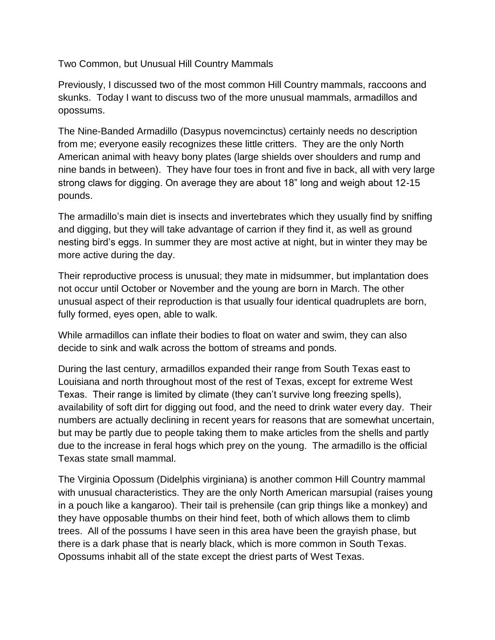Two Common, but Unusual Hill Country Mammals

Previously, I discussed two of the most common Hill Country mammals, raccoons and skunks. Today I want to discuss two of the more unusual mammals, armadillos and opossums.

The Nine-Banded Armadillo (Dasypus novemcinctus) certainly needs no description from me; everyone easily recognizes these little critters. They are the only North American animal with heavy bony plates (large shields over shoulders and rump and nine bands in between). They have four toes in front and five in back, all with very large strong claws for digging. On average they are about 18" long and weigh about 12-15 pounds.

The armadillo's main diet is insects and invertebrates which they usually find by sniffing and digging, but they will take advantage of carrion if they find it, as well as ground nesting bird's eggs. In summer they are most active at night, but in winter they may be more active during the day.

Their reproductive process is unusual; they mate in midsummer, but implantation does not occur until October or November and the young are born in March. The other unusual aspect of their reproduction is that usually four identical quadruplets are born, fully formed, eyes open, able to walk.

While armadillos can inflate their bodies to float on water and swim, they can also decide to sink and walk across the bottom of streams and ponds.

During the last century, armadillos expanded their range from South Texas east to Louisiana and north throughout most of the rest of Texas, except for extreme West Texas. Their range is limited by climate (they can't survive long freezing spells), availability of soft dirt for digging out food, and the need to drink water every day. Their numbers are actually declining in recent years for reasons that are somewhat uncertain, but may be partly due to people taking them to make articles from the shells and partly due to the increase in feral hogs which prey on the young. The armadillo is the official Texas state small mammal.

The Virginia Opossum (Didelphis virginiana) is another common Hill Country mammal with unusual characteristics. They are the only North American marsupial (raises young in a pouch like a kangaroo). Their tail is prehensile (can grip things like a monkey) and they have opposable thumbs on their hind feet, both of which allows them to climb trees. All of the possums I have seen in this area have been the grayish phase, but there is a dark phase that is nearly black, which is more common in South Texas. Opossums inhabit all of the state except the driest parts of West Texas.